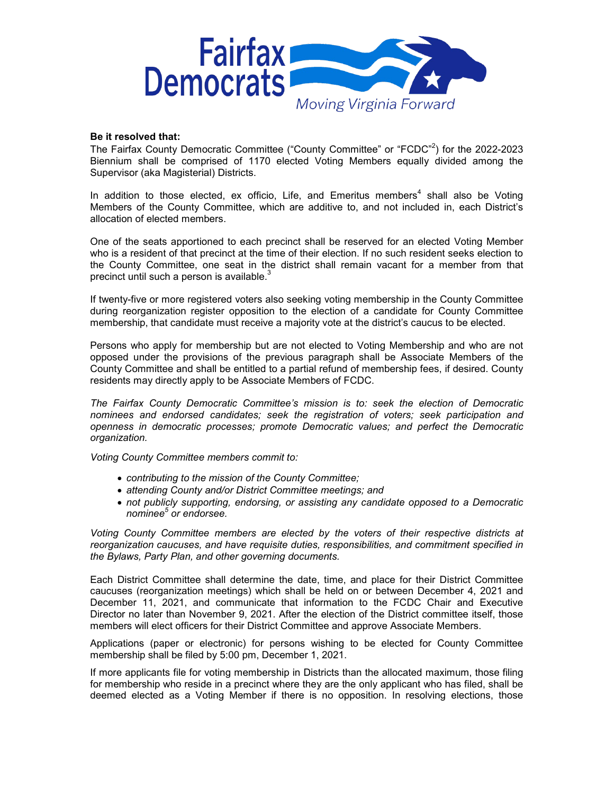

## **Be it resolved that:**

The Fairfax County Democratic Committee ("County Committee" or "FCDC"<sup>2</sup>) for the 2022-2023 Biennium shall be comprised of 1170 elected Voting Members equally divided among the Supervisor (aka Magisterial) Districts.

In addition to those elected, ex officio, Life, and Emeritus members<sup>4</sup> shall also be Voting Members of the County Committee, which are additive to, and not included in, each District's allocation of elected members.

One of the seats apportioned to each precinct shall be reserved for an elected Voting Member who is a resident of that precinct at the time of their election. If no such resident seeks election to the County Committee, one seat in the district shall remain vacant for a member from that precinct until such a person is available. $3$ 

If twenty-five or more registered voters also seeking voting membership in the County Committee during reorganization register opposition to the election of a candidate for County Committee membership, that candidate must receive a majority vote at the district's caucus to be elected.

Persons who apply for membership but are not elected to Voting Membership and who are not opposed under the provisions of the previous paragraph shall be Associate Members of the County Committee and shall be entitled to a partial refund of membership fees, if desired. County residents may directly apply to be Associate Members of FCDC.

*The Fairfax County Democratic Committee's mission is to: seek the election of Democratic nominees and endorsed candidates; seek the registration of voters; seek participation and openness in democratic processes; promote Democratic values; and perfect the Democratic organization.*

*Voting County Committee members commit to:*

- *contributing to the mission of the County Committee;*
- *attending County and/or District Committee meetings; and*
- *not publicly supporting, endorsing, or assisting any candidate opposed to a Democratic nominee5 or endorsee.*

*Voting County Committee members are elected by the voters of their respective districts at reorganization caucuses, and have requisite duties, responsibilities, and commitment specified in the Bylaws, Party Plan, and other governing documents.*

Each District Committee shall determine the date, time, and place for their District Committee caucuses (reorganization meetings) which shall be held on or between December 4, 2021 and December 11, 2021, and communicate that information to the FCDC Chair and Executive Director no later than November 9, 2021. After the election of the District committee itself, those members will elect officers for their District Committee and approve Associate Members.

Applications (paper or electronic) for persons wishing to be elected for County Committee membership shall be filed by 5:00 pm, December 1, 2021.

If more applicants file for voting membership in Districts than the allocated maximum, those filing for membership who reside in a precinct where they are the only applicant who has filed, shall be deemed elected as a Voting Member if there is no opposition. In resolving elections, those